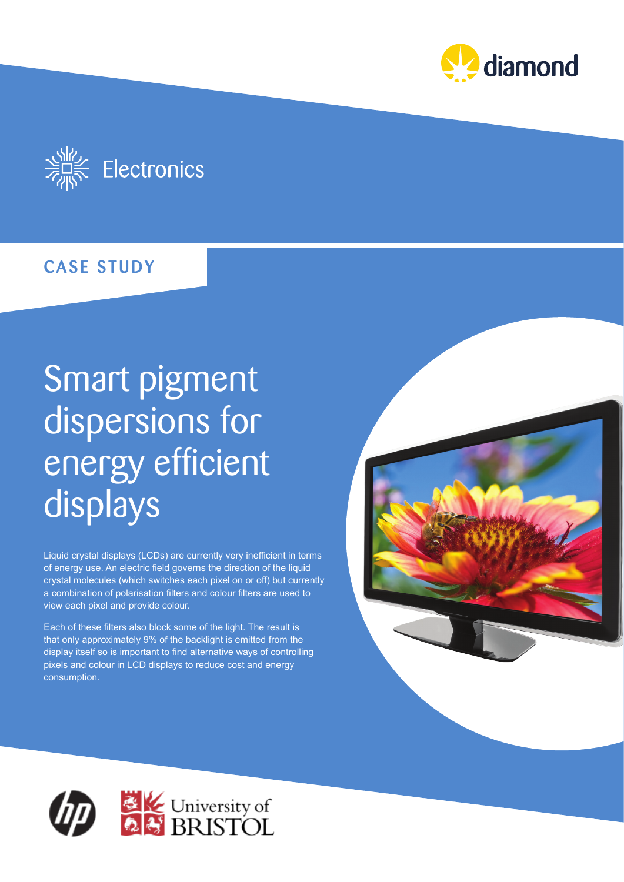



## CASE STUDY

# Smart pigment dispersions for energy efficient displays

Liquid crystal displays (LCDs) are currently very inefficient in terms of energy use. An electric field governs the direction of the liquid crystal molecules (which switches each pixel on or off) but currently a combination of polarisation filters and colour filters are used to view each pixel and provide colour.

Each of these filters also block some of the light. The result is that only approximately 9% of the backlight is emitted from the display itself so is important to find alternative ways of controlling pixels and colour in LCD displays to reduce cost and energy consumption.